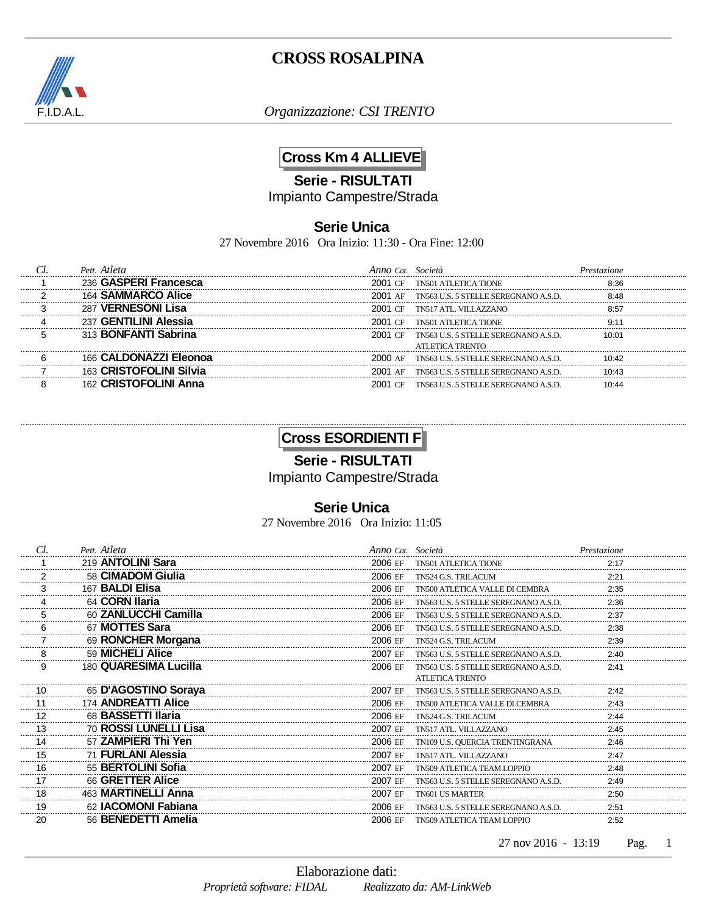

*Organizzazione: CSI TRENTO*

## **Cross Km 4 ALLIEVE**

**Serie - RISULTATI**

Impianto Campestre/Strada

#### **Serie Unica**

27 Novembre 2016 Ora Inizio: 11:30 - Ora Fine: 12:00

| Pett Atleta                 | Anno Cat Società |                                      |       |
|-----------------------------|------------------|--------------------------------------|-------|
| <b>GASPERI Francesca</b>    | 2001 CF          | TN501 ATLETICA TIONE                 | 8.36  |
| <b>SAMMARCO Alice</b>       | 2001 AF          | TN563 U.S. 5 STELLE SEREGNANO A.S.D. |       |
| <b>VERNESONI Lisa</b>       | <b>CE</b>        | TN517 ATL VILLAZZANO                 |       |
| <b>GENTILINI Alessia</b>    | 2001 CF          | TN501 ATLETICA TIONE                 |       |
| 313 <b>BONFANTI Sabrina</b> | 2001 CF          | TN563 U.S. 5 STELLE SEREGNANO A.S.D. | 10:01 |
|                             |                  | ATLETICA TRENTO                      |       |
| 166 CALDONAZZI Eleonoa      | 2000 AF          | TN563 U.S. 5 STELLE SEREGNANO A.S.D. | 10.42 |
| 163 CRISTOFOLINI Silvia     | 2001 AF          | TN563 U.S. 5 STELLE SEREGNANO A.S.D. | 10.43 |
| 162 CRISTOFOLINI Anna       | 2001 CF          | TN563 U.S. 5 STELLE SEREGNANO A S.D. |       |

## **Cross ESORDIENTI F**

**Serie - RISULTATI**

Impianto Campestre/Strada

### **Serie Unica**

27 Novembre 2016 Ora Inizio: 11:05

| Cl.     | Pett. Atleta          | Anno Cat. Società |                                      | Prestazione |
|---------|-----------------------|-------------------|--------------------------------------|-------------|
|         | 219 ANTOLINI Sara     | 2006 EF           | <b>TN501 ATLETICA TIONE</b>          | 2:17        |
|         | 58 CIMADOM Giulia     | 2006 EF           | TN524 G.S. TRILACUM                  | 2:21        |
| .       | 167 BALDI Elisa       | 2006 EF           | TN500 ATLETICA VALLE DI CEMBRA       | 2:35        |
|         | 64 CORN Ilaria        | 2006 EF           | TN563 U.S. 5 STELLE SEREGNANO A.S.D. | 2:36        |
|         | 60 ZANLUCCHI Camilla  | 2006 EF           | TN563 U.S. 5 STELLE SEREGNANO A.S.D. | 2:37        |
|         | 67 MOTTES Sara        | 2006 EF           | TN563 U.S. 5 STELLE SEREGNANO A.S.D. | 2:38        |
|         | 69 RONCHER Morgana    | 2006 EF           | TN524 G.S. TRILACUM                  | 2:39        |
|         | 59 MICHELI Alice      | 2007 EF           | TN563 U.S. 5 STELLE SEREGNANO A.S.D. | 2:40        |
| 9       | 180 QUARESIMA Lucilla | 2006 EF           | TN563 U.S. 5 STELLE SEREGNANO A.S.D. | 2:41        |
|         |                       |                   | <b>ATLETICA TRENTO</b>               |             |
| 10      | 65 D'AGOSTINO Soraya  | 2007 EF           | TN563 U.S. 5 STELLE SEREGNANO A.S.D. | 2:42        |
| 11      | 174 ANDREATTI Alice   | 2006 EF           | TN500 ATLETICA VALLE DI CEMBRA       | 2:43        |
| 12      | 68 BASSETTI Ilaria    | 2006 EF           | TN524 G.S. TRILACUM                  | 2:44        |
| 13      | 70 ROSSI LUNELLI Lisa | 2007 EF           | TN517 ATL. VILLAZZANO                | 2:45        |
| 14      | 57 ZAMPIERI Thi Yen   | 2006 EF           | TN109 U.S. QUERCIA TRENTINGRANA      | 2:46        |
| 15      | 71 FURLANI Alessia    | 2007 EF           | TN517 ATL. VILLAZZANO                | 2:47        |
| 16      | 55 BERTOLINI Sofia    | 2007 FF           | TN509 ATLETICA TEAM LOPPIO           | 2:48        |
| 17<br>. | 66 GRETTER Alice      | 2007 EF           | TN563 U.S. 5 STELLE SEREGNANO A.S.D. | 2:49        |
| 18      | 463 MARTINELLI Anna   | 2007 EF           | <b>TN601 US MARTER</b>               | 2:50        |
| 19      | 62 IACOMONI Fabiana   | 2006 EF           | TN563 U.S. 5 STELLE SEREGNANO A.S.D. | 2:51        |
| 20      | 56 BENEDETTI Amelia   | 2006 EF           | <b>TN509 ATLETICA TEAM LOPPIO</b>    | 2:52        |
|         |                       |                   |                                      |             |

27 nov 2016 - 13:19 Pag. 1 Pag.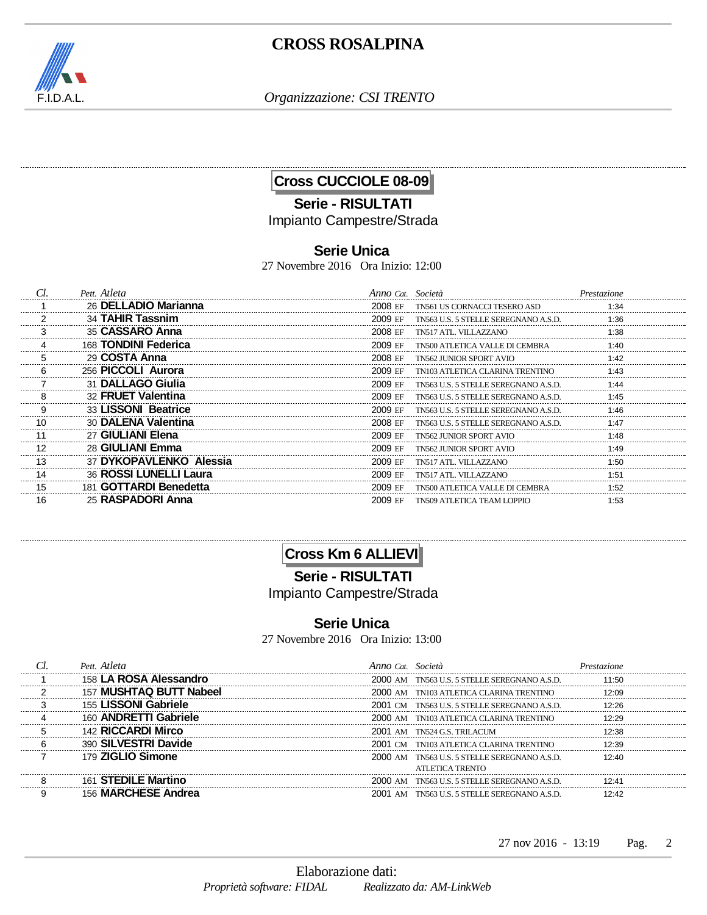

*Organizzazione: CSI TRENTO*

# **Cross CUCCIOLE 08-09**

## **Serie - RISULTATI** Impianto Campestre/Strada

### **Serie Unica**

27 Novembre 2016 Ora Inizio: 12:00

| .  | Pett. Atleta            | Anno Cat. Società |                                      |      |
|----|-------------------------|-------------------|--------------------------------------|------|
|    | 26 DELLADIO Marianna    | 2008 EF           | TN561 US CORNACCI TESERO ASD         | 1:34 |
|    | 34 TAHIR Tassnim        | 2009 FF           | TN563 U.S. 5 STELLE SEREGNANO A.S.D. | 1:36 |
|    | 35 CASSARO Anna         | 2008 FF           | TN517 ATL VILLAZZANO                 | ':38 |
|    | 168 TONDINI Federica    | 2009 FF           | TN500 ATI FTICA VALLE DI CEMBRA      | ∙4∩  |
|    | 29 COSTA Anna           | 2008 FF           | TN562 JUNIOR SPORT AVIO              | 1.42 |
|    | 256 PICCOLI Aurora      | 2009 EF           | TN103 ATLETICA CLARINA TRENTINO      | 1.43 |
|    | 31 DALLAGO Giulia       | 2009 EF           | TN563 U.S. 5 STELLE SEREGNANO A.S.D. |      |
|    | 32 FRUET Valentina      | 2009 EF           | TN563 U.S. 5 STELLE SEREGNANO A.S.D. | 1.45 |
|    | 33 LISSONI Beatrice     | 2009 FF           | TN563 U.S. 5 STELLE SEREGNANO A.S.D. | 1.46 |
|    | 30 DALENA Valentina     | 2008 FF           | TN563 U.S. 5 STELLE SEREGNANO A S D  | 1.47 |
|    | 27 GIULIANI Elena       | 2009 FF           | TN562. II INIOR SPORT AVIO           | ۰48  |
| 12 | 28 GIULIANI Emma        | 2009 F.F          | TN562 JUNIOR SPORT AVIC              | ∣∙⊿a |
| 13 | 37 DYKOPAVLENKO Alessia | 2009 EF           | TN517 ATL. VILLAZZANO                | 1.50 |
|    | 36 ROSSI LUNELLI Laura  | 2009 EF           | TN517 ATL. VILLAZZANO                |      |
| 15 | 181 GOTTARDI Benedetta  | 2009 FF           | TN500 ATLETICA VALLE DI CEMBRA       | 1:52 |
|    | 25 RASPADORI Anna       | 2009 FF           | TN509 ATLETICA TEAM LOPPIO           | 1:53 |

## **Cross Km 6 ALLIEVI**

**Serie - RISULTATI**

Impianto Campestre/Strada

## **Serie Unica**

27 Novembre 2016 Ora Inizio: 13:00

| Pett Atleta                   | A <i>nno Cat Società</i> |                                              |       |
|-------------------------------|--------------------------|----------------------------------------------|-------|
| 158 LA ROSA Alessandro        | 2000 AM                  | TN563 U.S. 5 STELLE SEREGNANO A.S.D.         | 11:50 |
| MUSHTAQ BUTT Nabeel<br>157    |                          | 2000 AM TN103 ATLETICA CLARINA TRENTINO      |       |
| 155 LISSONI Gabriele          |                          | 2001 CM TN563 U.S. 5 STELLE SEREGNANO A.S.D. | 12.26 |
| <b>ANDRETTI Gabriele</b>      | 2000 AM                  | TN103 ATI ETICA CLARINA TRENTINO             |       |
| 142 RICCARDI Mirco            |                          | 2001 AM TN524 G.S. TRILACUM                  | 12.38 |
| 390 SILVESTRI Davide          |                          | 2001 CM TN103 ATLETICA CLARINA TRENTINO      | つ・つの  |
| 179 ZIGLIO Simone             |                          | 2000 AM TN563 U.S. 5 STELLE SEREGNANO A.S.D. | 12.40 |
|                               |                          | ATLETICA TRENTO                              |       |
| <b>STEDILE Martino</b><br>161 |                          | 2000 AM TN563 U.S. 5 STELLE SEREGNANO A.S.D. | 12.41 |
| <b>MARCHESE Andrea</b>        |                          | 2001 AM TN563 U.S. 5 STELLE SEREGNANO A.S.D. |       |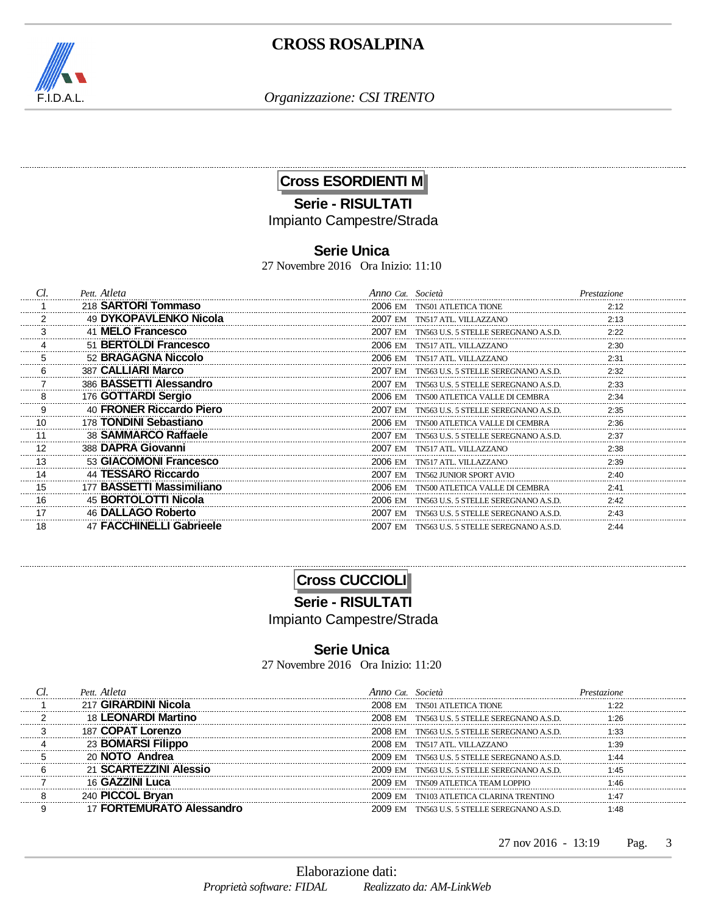

*Organizzazione: CSI TRENTO*

## **Cross ESORDIENTI M**

## **Serie - RISULTATI** Impianto Campestre/Strada

### **Serie Unica**

27 Novembre 2016 Ora Inizio: 11:10

|         | Pett. Atleta              | Anno Cat. Società                                | Prestazione |
|---------|---------------------------|--------------------------------------------------|-------------|
|         | 218 SARTORI Tommaso       | 2006 EM<br><b>TN501 ATLETICA TIONE</b>           | 2:12        |
|         | 49 DYKOPAVLENKO Nicola    | 2007 FM<br>TN517 ATL. VILLAZZANO                 | 2:13        |
|         | 41 MELO Francesco         | 2007 FM<br>TN563 U.S. 5 STELLE SEREGNANO A S D   | 2:22        |
|         | 51 BERTOLDI Francesco     | 2006 FM<br>TN517 ATL VILLAZZANO                  | 2:30        |
|         | 52 BRAGAGNA Niccolo       | 2006 FM<br>TN517 ATL VILLAZZANO                  | 2:31        |
|         | 387 CALLIARI Marco        | 2007 F.M<br>TN563 U.S. 5 STELLE SEREGNANO A.S.D. | 2:32        |
|         | 386 BASSETTI Alessandro   | 2007 EM<br>TN563 U.S. 5 STELLE SEREGNANO A.S.D.  | 2:33        |
|         | 176 GOTTARDI Sergio       | 2006 EM<br>TN500 ATLETICA VALLE DI CEMBRA        | 2:34        |
|         | 40 FRONER Riccardo Piero  | 2007 EM<br>TN563 U.S. 5 STELLE SEREGNANO A.S.D.  | 2:35        |
| 10      | 178 TONDINI Sebastiano    | 2006 EM<br>TN500 ATLETICA VALLE DI CEMBRA        | 2:36        |
| 11      | 38 SAMMARCO Raffaele      | 2007 EM TN563 U.S. 5 STELLE SEREGNANO A.S.D.     | 2:37        |
| 12<br>. | 388 DAPRA Giovanni        | 2007 EM TN517 ATL. VILLAZZANO                    | 2:38        |
| 13      | 53 GIACOMONI Francesco    | 2006 EM TN517 ATL. VILLAZZANO                    |             |
| 14      | 44 TESSARO Riccardo       | 2007 EM<br>TN562 JUNIOR SPORT AVIO               | 2:40        |
| 15      | 177 BASSETTI Massimiliano | 2006 EM<br>TN500 ATLETICA VALLE DI CEMBRA        | 2:41        |
| 16      | 45 BORTOLOTTI Nicola      | 2006 EM<br>TN563 U.S. 5 STELLE SEREGNANO A.S.D.  | 2:42        |
| 17      | 46 DALLAGO Roberto        | 2007 FM<br>TN563 U.S. 5 STELLE SEREGNANO A.S.D.  | 2.43        |
|         | 47 FACCHINELLI Gabrieele  | 2007 FM<br>TN563 U.S. 5 STELLE SEREGNANO A.S.D.  | 2.44        |

## **Cross CUCCIOLI**

**Serie - RISULTATI**

Impianto Campestre/Strada

#### **Serie Unica**

27 Novembre 2016 Ora Inizio: 11:20

| <b>GIRARDINI Nicola</b>       | 2008 EM | TN501 ATLETICA TIONE                         |  |
|-------------------------------|---------|----------------------------------------------|--|
| 18 LEONARDI Martino           |         | 2008 EM TN563 U.S. 5 STELLE SEREGNANO A S.D. |  |
| 187 COPAT Lorenzo             |         | 2008 EM TN563 U.S. 5 STELLE SEREGNANO A.S.D. |  |
| 23 <b>BOMARSI Filippo</b>     |         | 2008 EM TN517 ATL. VILLAZZANO                |  |
| 20 <b>NOTO</b> Andrea         |         | 2009 EM TN563 U.S. 5 STELLE SEREGNANO A.S.D. |  |
| 21 SCARTEZZINI Alessio        | 2009 EM | TN563 U.S. 5 STELLE SEREGNANO A.S.D.         |  |
| 16 GAZZINI Luca               |         | 2009 EM TN509 ATLETICA TEAM LOPPIO           |  |
| 240 PICCOL Brvan              |         | 2009 EM TN103 ATLETICA CLARINA TRENTINO      |  |
| <b>FORTEMURATO Alessandro</b> |         | 2009 EM TN563 U.S. 5 STELLE SEREGNANO A.S.D. |  |

 $27 \text{ nov } 2016 - 13:19$  Pag. 3 Pag.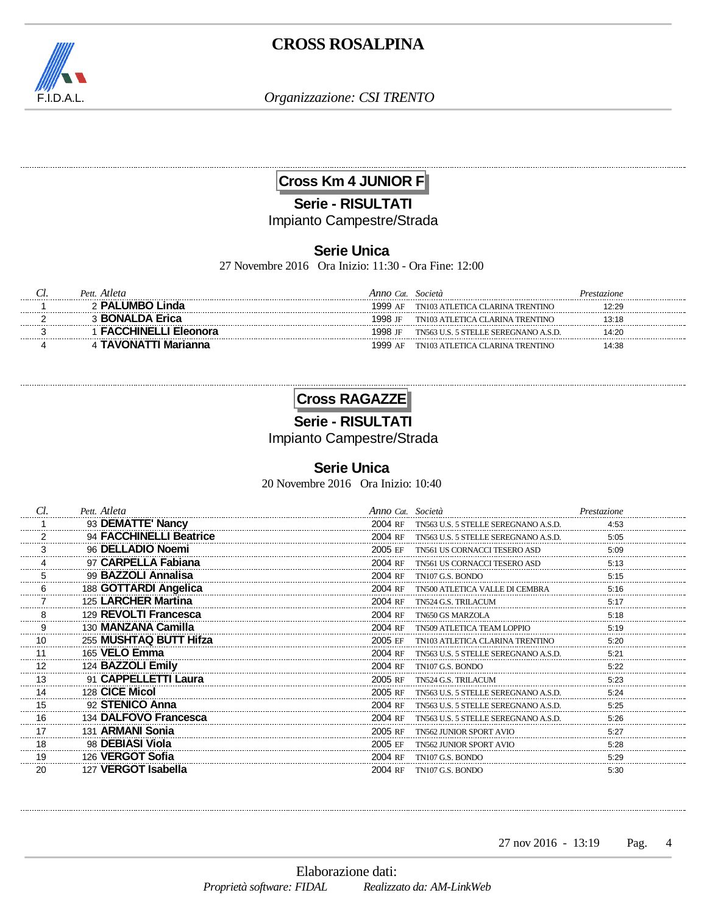

*Organizzazione: CSI TRENTO*

**Cross Km 4 JUNIOR F**

**Serie - RISULTATI**

Impianto Campestre/Strada

## **Serie Unica**

27 Novembre 2016 Ora Inizio: 11:30 - Ora Fine: 12:00

| Pett. Atleta         | Anno Cat. | Società                              | Prestazione |
|----------------------|-----------|--------------------------------------|-------------|
| <b>PALUMBO Linda</b> | 1999 AF   | TN103 ATLETICA CLARINA TRENTINO      | 2:29ء       |
| <b>BONALDA Erica</b> | 1998 IF   | TN103 ATLETICA CLARINA TRENTINO      | 13:18       |
|                      | 1998 IF   | TN563 U.S. 5 STELLE SEREGNANO A.S.D. | 14:20       |
|                      | 1999 AF   | TN103 ATLETICA CLARINA TRENTINO      | 14:38       |

## **Cross RAGAZZE**

**Serie - RISULTATI**

Impianto Campestre/Strada

### **Serie Unica**

20 Novembre 2016 Ora Inizio: 10:40

| Cl.     | Pett. Atleta            | Anno Cat. Società |                                      | Prestazione |
|---------|-------------------------|-------------------|--------------------------------------|-------------|
|         | 93 DEMATTE' Nancy       | 2004 RF           | TN563 U.S. 5 STELLE SEREGNANO A.S.D. | 4:53        |
|         | 94 FACCHINELLI Beatrice | 2004 RF           | TN563 U.S. 5 STELLE SEREGNANO A.S.D. | 5:05        |
|         | 96 DELLADIO Noemi       | 2005 EF           | TN561 US CORNACCI TESERO ASD         | 5:09        |
|         | 97 CARPELLA Fabiana     | 2004 RF           | TN561 US CORNACCI TESERO ASD         | 5:13        |
|         | 99 BAZZOLI Annalisa     | 2004 RF           | TN107 G.S. BONDO                     | 5:15        |
|         | 188 GOTTARDI Angelica   | 2004 RF           | TN500 ATLETICA VALLE DI CEMBRA       | 5:16        |
|         | 125 LARCHER Martina     | 2004 RF           | TN524 G.S. TRILACUM                  | 5:17        |
|         | 129 REVOLTI Francesca   | 2004 RF           | TN650 GS MARZOLA                     | 5:18        |
|         | 130 MANZANA Camilla     | 2004 RF           | TN509 ATLETICA TEAM LOPPIO           | 5:19        |
| 10      | 255 MUSHTAQ BUTT Hifza  | 2005 EF           | TN103 ATLETICA CLARINA TRENTINO      | 5:20        |
| 11      | 165 VELO Emma           | 2004 RF           | TN563 U.S. 5 STELLE SEREGNANO A.S.D. | 5:21        |
| 12      | 124 BAZZOLI Emily       | 2004 RF           | TN107 G.S. BONDO                     | 5:22        |
| 13      | 91 CAPPELLETTI Laura    | 2005 RF           | TN524 G.S. TRILACUM                  | 5:23        |
| 14      | 128 CICE Micol          | 2005 RF           | TN563 U.S. 5 STELLE SEREGNANO A.S.D. | 5:24        |
| 15<br>. | 92 STENICO Anna         | 2004 RF           | TN563 U.S. 5 STELLE SEREGNANO A.S.D. | 5:25        |
| 16      | 134 DALFOVO Francesca   | 2004 RF           | TN563 U.S. 5 STELLE SEREGNANO A.S.D. | 5:26        |
| 17      | 131 ARMANI Sonia        | 2005 RF           | <b>TN562 JUNIOR SPORT AVIO</b>       | 5:27        |
| 18      | 98 DEBIASI Viola        | 2005 EF           | <b>TN562 JUNIOR SPORT AVIO</b>       | 5:28        |
| 19      | 126 VERGOT Sofia        | 2004 RF           | TN107 G.S. BONDO                     | 5:29        |
| 20      | 127 VERGOT Isabella     | 2004 RF           | TN107 G.S. BONDO                     | 5:30        |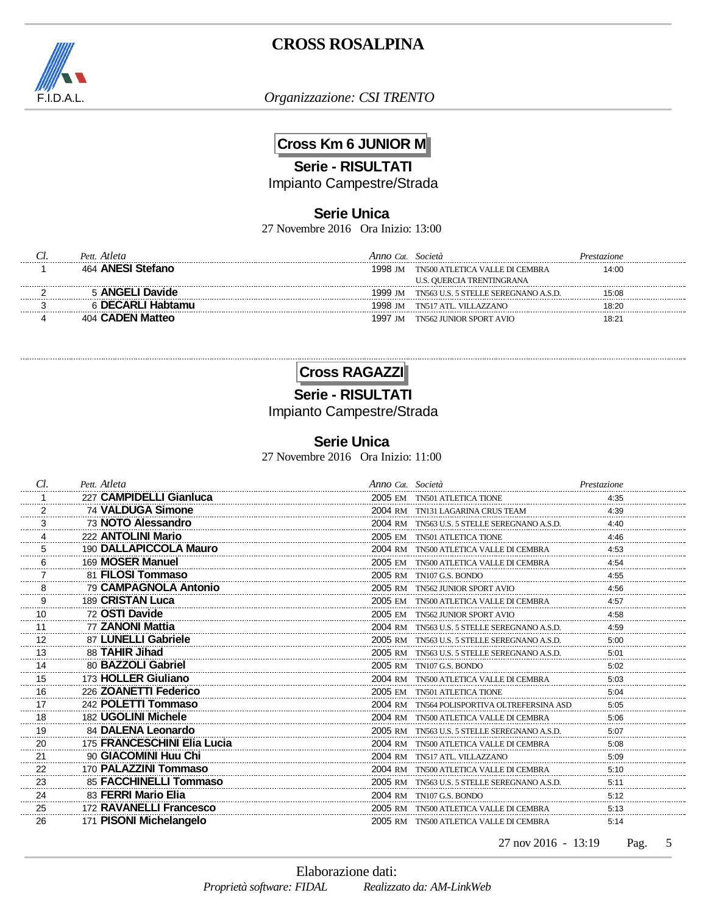

*Organizzazione: CSI TRENTO*

## **Cross Km 6 JUNIOR M**

**Serie - RISULTATI**

Impianto Campestre/Strada

### **Serie Unica**

27 Novembre 2016 Ora Inizio: 13:00

| Pett. Atleta         | $\cdot$ Cat       | Società                              | Prestazione |
|----------------------|-------------------|--------------------------------------|-------------|
| 464 ANESI Stefano    | 1998 IM           | TN500 ATLETICA VALLE DI CEMBRA       | 14:00       |
|                      |                   | U.S. QUERCIA TRENTINGRANA            |             |
| <b>ANGELI Davide</b> | 1999 IM           | TN563 U.S. 5 STELLE SEREGNANO A.S.D. | 15:08       |
|                      | 1998 IM           | TN517 ATL. VILLAZZANO                | 18:20       |
| <b>CADEN Matteo</b>  | 1997<br><b>IM</b> | TN562 ILINIOR SPORT AVIO             | 18:2        |

### **Cross RAGAZZI**

# **Serie - RISULTATI**

Impianto Campestre/Strada

#### **Serie Unica**

27 Novembre 2016 Ora Inizio: 11:00

| Cl.                       | Pett. Atleta                | Anno Cat. Società |                                              | Prestazione |
|---------------------------|-----------------------------|-------------------|----------------------------------------------|-------------|
|                           | 227 CAMPIDELLI Gianluca     |                   | 2005 EM TN501 ATLETICA TIONE                 | 4:35        |
| $\overline{\phantom{a}2}$ | 74 VALDUGA Simone           |                   | 2004 RM TN131 LAGARINA CRUS TEAM             | 4:39        |
| $\frac{3}{2}$             | 73 NOTO Alessandro          |                   | 2004 RM TN563 U.S. 5 STELLE SEREGNANO A.S.D. | 4:40        |
| 4                         | 222 ANTOLINI Mario          |                   | 2005 EM TN501 ATLETICA TIONE                 | 4:46        |
| 5                         | 190 DALLAPICCOLA Mauro      |                   | 2004 RM TN500 ATLETICA VALLE DI CEMBRA       | 4:53        |
| 6<br>------------         | 169 MOSER Manuel            |                   | 2005 EM TN500 ATLETICA VALLE DI CEMBRA       | 4:54        |
| $\overline{7}$            | 81 FILOSI Tommaso           |                   | 2005 RM TN107 G.S. BONDO                     | 4:55        |
| 8<br>.                    | 79 CAMPAGNOLA Antonio       |                   | 2005 RM TN562 JUNIOR SPORT AVIO              | 4:56        |
| 9<br>.                    | 189 CRISTAN Luca            |                   | 2005 EM TN500 ATLETICA VALLE DI CEMBRA       | 4:57        |
| 10                        | 72 OSTI Davide              |                   | 2005 EM TN562 JUNIOR SPORT AVIO              | 4:58        |
| 11                        | 77 ZANONI Mattia            |                   | 2004 RM TN563 U.S. 5 STELLE SEREGNANO A.S.D. | 4:59        |
| 12                        | 87 LUNELLI Gabriele         |                   | 2005 RM TN563 U.S. 5 STELLE SEREGNANO A.S.D. | 5:00        |
| 13                        | 88 TAHIR Jihad              |                   | 2005 RM TN563 U.S. 5 STELLE SEREGNANO A.S.D. | 5:01        |
| 14                        | 80 BAZZOLI Gabriel          |                   | 2005 RM TN107 G.S. BONDO                     | 5:02        |
| 15                        | 173 HOLLER Giuliano         |                   | 2004 RM TN500 ATLETICA VALLE DI CEMBRA       | 5:03        |
| 16                        | 226 ZOANETTI Federico       |                   | 2005 EM TN501 ATLETICA TIONE                 | 5:04        |
| 17                        | 242 POLETTI Tommaso         |                   | 2004 RM TN564 POLISPORTIVA OLTREFERSINA ASD  | 5:05        |
| 18                        | 182 UGOLINI Michele         |                   | 2004 RM TN500 ATLETICA VALLE DI CEMBRA       | 5:06        |
| 19                        | 84 DALENA Leonardo          |                   | 2005 RM TN563 U.S. 5 STELLE SEREGNANO A.S.D. | 5:07        |
| 20                        | 175 FRANCESCHINI Elia Lucia |                   | 2004 RM TN500 ATLETICA VALLE DI CEMBRA       | 5:08        |
| 21                        | 90 GIACOMINI Huu Chi        |                   | 2004 RM TN517 ATL. VILLAZZANO                | 5:09        |
| 22                        | 170 PALAZZINI Tommaso       |                   | 2004 RM TN500 ATLETICA VALLE DI CEMBRA       | 5:10        |
| 23                        | 85 FACCHINELLI Tommaso      |                   | 2005 RM TN563 U.S. 5 STELLE SEREGNANO A.S.D. | 5:11        |
| 24                        | 83 FERRI Mario Elia         |                   | 2004 RM TN107 G.S. BONDO                     | 5:12        |
| 25                        | 172 RAVANELLI Francesco     |                   | 2005 RM TN500 ATLETICA VALLE DI CEMBRA       | 5:13        |
| 26                        | 171 PISONI Michelangelo     |                   | 2005 RM TN500 ATLETICA VALLE DI CEMBRA       | 5:14        |

27 nov 2016 - 13:19 Pag. 5 Pag.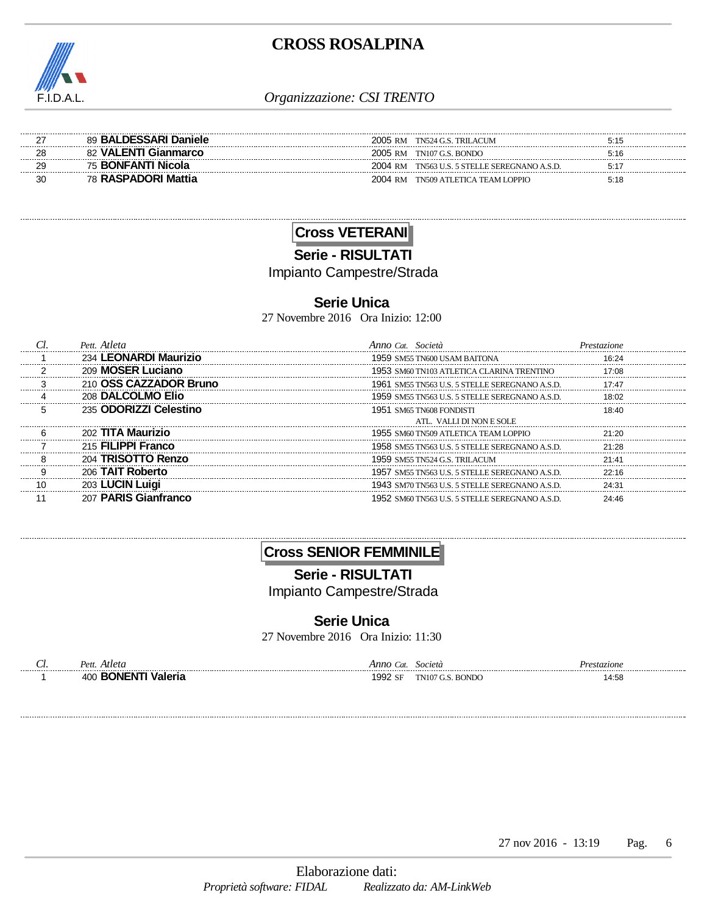

| 89 BALDESSARI Daniele     | 2005 RM | TN524 G.S. TRILACUM                  | 5:15 |
|---------------------------|---------|--------------------------------------|------|
| 82 VALENTI Gianmarco      | 2005 RM | TN107 G.S. BONDO                     | 5:16 |
| 75 <b>BONFANTI Nicola</b> | 2004 RM | TN563 U.S. 5 STELLE SEREGNANO A.S.D. | 5.1  |
| 78 RASPADORI Mattia       | 2004 RM | TN509 ATLETICA TEAM LOPPIO           | 5:18 |

## **Cross VETERANI**

**Serie - RISULTATI**

Impianto Campestre/Strada

#### **Serie Unica**

27 Novembre 2016 Ora Inizio: 12:00

| Pett Atleta                  | Anno Cat                                        |       |
|------------------------------|-------------------------------------------------|-------|
| 234 LEONARDI Maurizio        | 1959. SM55 TN600 USAM BAITONA                   | 16.24 |
| 209 MOSER Luciano            | 1953. SM60 TN103 ATLETICA CLARINA TRENTINO      |       |
| 210 OSS CAZZADOR Bruno       | 1961 SM55 TN563 U.S. 5 STELLE SEREGNANO A.S.D.  | 17.47 |
| 208 DALCOLMO Elio            | 1959. SM55 TN563 U.S. 5 STELLE SEREGNANO A.S.D. | 18:02 |
| 235 ODORIZZI Celestino       | 1951 SM65 TN608 FONDISTI                        | 18:40 |
|                              | ATL. VALLI DI NON E SOLE                        |       |
| 202 TITA Maurizio            | 1955. SM60 TN509 ATLETICA TEAM LOPPIO.          |       |
| 215 FILIPPI Franco           | 1958. SM55 TN563 U.S. 5 STELLE SEREGNANO A.S.D. | 21.28 |
| <b>TRISOTTO Renzo</b><br>204 | 1959. sm55 tn524 G.S. tril acum                 |       |
| 206 TAIT Roberto             | 1957 SM55 TN563 U.S. 5 STELLE SEREGNANO A.S.D.  |       |
| 203 LUCIN Luigi              | 1943 SM70 TN563 U.S. 5 STELLE SEREGNANO A.S.D.  | 24.31 |
| 207 PARIS Gianfranco         | 1952 SM60 TN563 U.S. 5 STELLE SEREGNANO A.S.D.  | 24.46 |

## **Cross SENIOR FEMMINILE**

**Serie - RISULTATI**

Impianto Campestre/Strada

### **Serie Unica**

27 Novembre 2016 Ora Inizio: 11:30

|  |  | $ -$ |
|--|--|------|

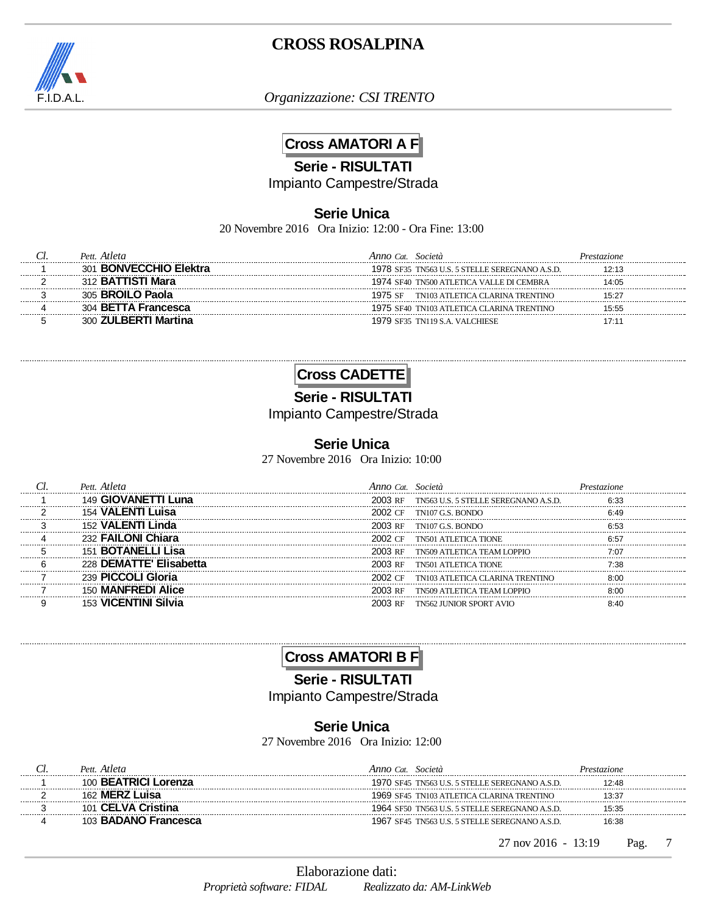

*Organizzazione: CSI TRENTO*

## **Cross AMATORI A F**

#### **Serie - RISULTATI**

Impianto Campestre/Strada

#### **Serie Unica**

20 Novembre 2016 Ora Inizio: 12:00 - Ora Fine: 13:00

| <i>Atleta</i><br>Pett     | Anno Cat<br>Società                            | Prestazione |
|---------------------------|------------------------------------------------|-------------|
| <b>BONVECCHIO Elektra</b> | 1978 SF35 TN563 U.S. 5 STELLE SEREGNANO A.S.D. | 12.13       |
| Mara                      | 1974 SF40 TN500 ATLETICA VALLE DI CEMBRA       | 14:05       |
|                           | TN103 ATLETICA CLARINA TRENTINO                | 15.27       |
| <b>BETTA Francesca</b>    | 1975 SF40 TN103 ATLETICA CLARINA TRENTINO      | 15:55       |
|                           | 1979 SF35 TN119 S.A. VALCHIESE                 |             |



**Serie - RISULTATI**

Impianto Campestre/Strada

### **Serie Unica**

27 Novembre 2016 Ora Inizio: 10:00

| GIOVANETTI Luna             | 2003 RF | TN563 U.S. 5 STELLE SEREGNANO A.S.D. | 6.33  |
|-----------------------------|---------|--------------------------------------|-------|
| VALENTI Luisa               |         | 2002 CF TN107 G.S. BONDO             | 6 49  |
| 152 VALENTI Linda           |         | 2003 RF TN107 G.S. BONDO             |       |
| 232 FAILONI Chiara          | 2002 CF | TN501 ATI ETICA TIONE                |       |
| <b>BOTANELLL</b> isa<br>151 | 2003 RF | TN509 ATLETICA TEAM LOPPIO           | 7.07  |
| 228 DEMATTE' Elisabetta     | 2003 RF | <b>TN501 ATLETICA TIONE</b>          | ′∙′?Զ |
| 239 PICCOLI Gloria          | 2002 CF | TN103 ATLETICA CLARINA TRENTINO      |       |
| 150 MANFREDI Alice          | 2003 RF | TN509 ATLETICA TEAM LOPPIO           |       |
|                             | 2003 RF | <b>TN562 JUNIOR SPORT AVIO</b>       |       |

# **Cross AMATORI B F**

**Serie - RISULTATI**

Impianto Campestre/Strada

### **Serie Unica**

27 Novembre 2016 Ora Inizio: 12:00

| Pett. Atleta                     | Anno Cat<br>Società                            | Prestazione |
|----------------------------------|------------------------------------------------|-------------|
| 100 <b>BEATRICI</b><br>l Lorenza | 1970 SF45 TN563 U.S. 5 STELLE SEREGNANO A.S.D. | 12.48       |
| <b>MERZ</b><br>162               | 1969 SF45 TN103 ATLETICA CLARINA TRENTINO      | 13:37       |
| <b>CELVA</b>                     | 1964 SF50 TN563 U.S. 5 STELLE SEREGNANO A.S.D. | 15:35       |
| 103 BADANO Francesca             | 1967 SF45 TN563 U.S. 5 STELLE SEREGNANO A.S.D. | 16:38       |
|                                  |                                                |             |

27 nov 2016 - 13:19 Pag. 7 Pag.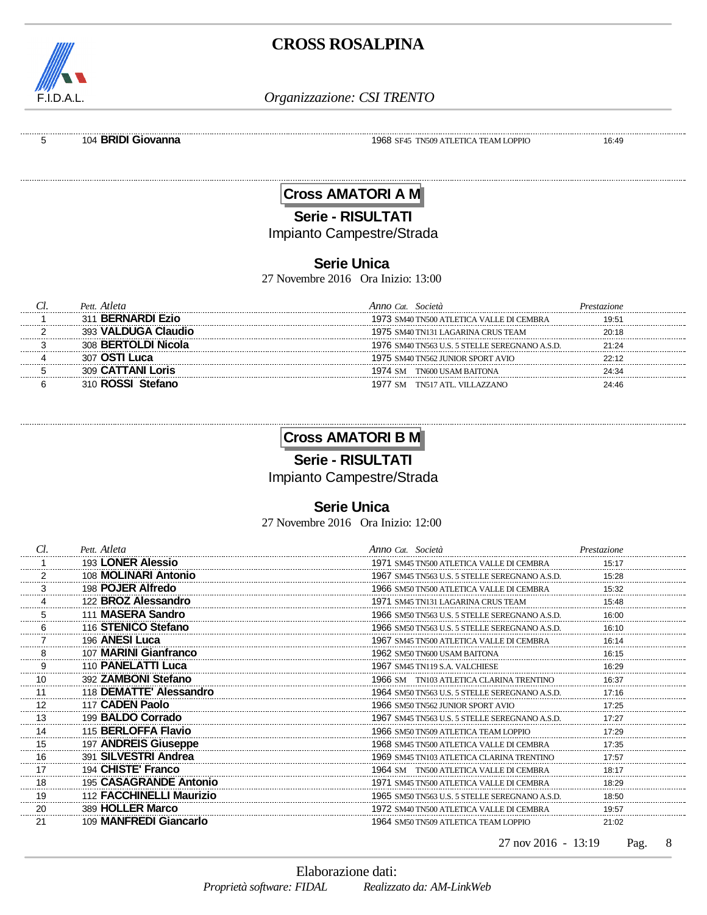

*Organizzazione: CSI TRENTO*

5 104 **BRIDI Giovanna** 1968 SF45 TN509 ATLETICA TEAM LOPPIO 16:49

## **Cross AMATORI A M**

**Serie - RISULTATI**

Impianto Campestre/Strada

#### **Serie Unica**

27 Novembre 2016 Ora Inizio: 13:00

| Atleta                 | Societa                                        |       |
|------------------------|------------------------------------------------|-------|
| <b>BERNARDI Ezio</b>   | 1973 SM40 TN500 ATLETICA VALLE DI CEMBRA       | 19.51 |
| <b>VALDUGA Claudio</b> | 1975 SM40 TN131 LAGARINA CRUS TEAM             | 20 18 |
| 308 BERTOLDI Nicola    | 1976 SM40 TN563 U.S. 5 STELLE SEREGNANO A.S.D. | 21.24 |
| ∩STI Luca              | 1975 SM40 TN562 JUNIOR SPORT AVIO              |       |
| <b>CATTANI Loris</b>   | TN600 USAM BAITONA                             |       |
|                        | TN517 ATL VILLAZZANO                           |       |

## **Cross AMATORI B M**

**Serie - RISULTATI**

Impianto Campestre/Strada

### **Serie Unica**

27 Novembre 2016 Ora Inizio: 12:00

| Cl.     | Pett. Atleta             | Anno Cat. Società                              | Prestazione |
|---------|--------------------------|------------------------------------------------|-------------|
|         | 193 LONER Alessio        | 1971 SM45 TN500 ATLETICA VALLE DI CEMBRA       | 15:17       |
|         | 108 MOLINARI Antonio     | 1967 SM45 TN563 U.S. 5 STELLE SEREGNANO A.S.D. | 15:28       |
| 3       | 198 POJER Alfredo        | 1966 SM50 TN500 ATLETICA VALLE DI CEMBRA       | 15:32       |
|         | 122 BROZ Alessandro      | 1971 SM45 TN131 LAGARINA CRUS TEAM             | 15:48       |
|         | 111 MASERA Sandro        | 1966 SM50 TN563 U.S. 5 STELLE SEREGNANO A.S.D. | 16:00       |
| 6       | 116 STENICO Stefano      | 1966 SM50 TN563 U.S. 5 STELLE SEREGNANO A.S.D. | 16:10       |
|         | 196 ANESI Luca           | 1967 SM45 TN500 ATLETICA VALLE DI CEMBRA       | 16:14       |
|         | 107 MARINI Gianfranco    | 1962 SM50 TN600 USAM BAITONA                   | 16:15       |
|         | 110 PANELATTI Luca       | 1967 SM45 TN119 S.A. VALCHIESE                 | 16:29       |
| 10      | 392 ZAMBONI Stefano      | 1966 SM TN103 ATLETICA CLARINA TRENTINO        | 16:37       |
| 11      | 118 DEMATTE' Alessandro  | 1964 SM50 TN563 U.S. 5 STELLE SEREGNANO A.S.D. | 17:16       |
| 12      | 117 CADEN Paolo          | 1966 SM50 TN562 JUNIOR SPORT AVIO              | 17:25       |
| 13      | 199 BALDO Corrado        | 1967 SM45 TN563 U.S. 5 STELLE SEREGNANO A.S.D. | 17:27       |
| 14      | 115 BERLOFFA Flavio      | 1966 SM50 TN509 ATLETICA TEAM LOPPIO           | 17:29       |
| 15      | 197 ANDREIS Giuseppe     | 1968 SM45 TN500 ATLETICA VALLE DI CEMBRA       | 17:35       |
| 16<br>. | 391 SILVESTRI Andrea     | 1969 SM45 TN103 ATLETICA CLARINA TRENTINO      | 17:57       |
| 17      | 194 CHISTE' Franco       | 1964 SM TN500 ATLETICA VALLE DI CEMBRA         | 18:17       |
| 18      | 195 CASAGRANDE Antonio   | 1971 SM45 TN500 ATLETICA VALLE DI CEMBRA       | 18:29       |
| 19<br>  | 112 FACCHINELLI Maurizio | 1965 SM50 TN563 U.S. 5 STELLE SEREGNANO A.S.D. | 18:50       |
| 20      | 389 HOLLER Marco         | 1972 SM40 TN500 ATLETICA VALLE DI CEMBRA       | 19:57       |
| 21      | 109 MANFREDI Giancarlo   | 1964 SM50 TN509 ATLETICA TEAM LOPPIO           | 21:02       |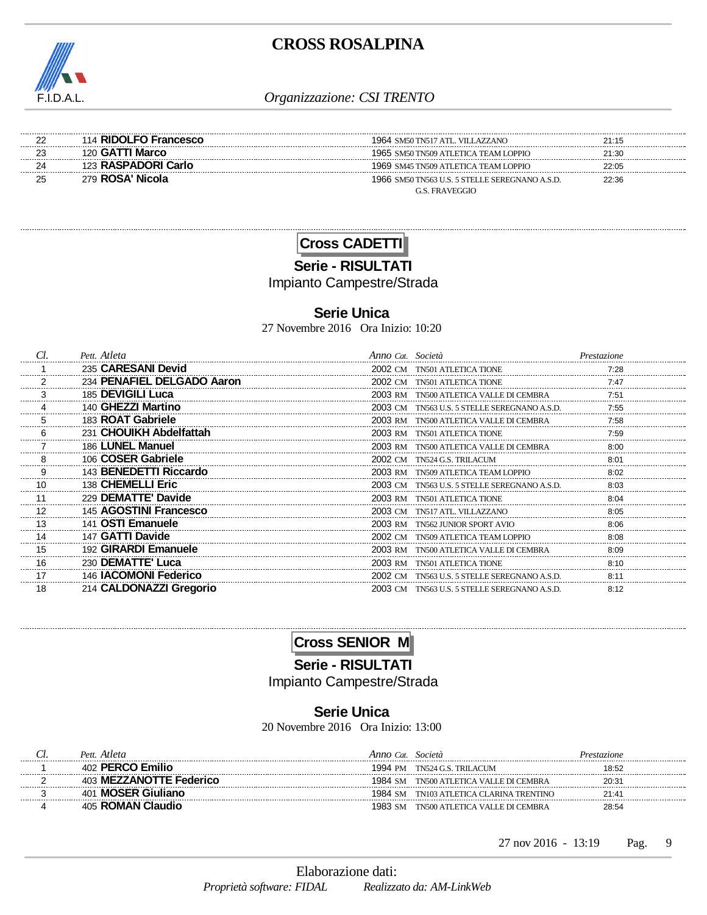

| 114 RIDOLFO Francesco | 1964 SM50 TN517 ATL. VILLAZZANO                | 21:15 |  |
|-----------------------|------------------------------------------------|-------|--|
| 120 GATTI Marco       | 1965 SM50 TN509 ATLETICA TEAM LOPPIO           | 21:30 |  |
| 123 RASPADORI Carlo   | 1969 SM45 TN509 ATLETICA TEAM LOPPIO           | 22:05 |  |
| 279 ROSA' Nicola      | 1966 SM50 TN563 U.S. 5 STELLE SEREGNANO A.S.D. | 22:36 |  |
|                       | G.S. FRAVEGGIO                                 |       |  |

**Cross CADETTI**

**Serie - RISULTATI**

Impianto Campestre/Strada

#### **Serie Unica**

27 Novembre 2016 Ora Inizio: 10:20

|                | Pett. Atleta               | Anno Cat. Società |                                              | Prestazione |
|----------------|----------------------------|-------------------|----------------------------------------------|-------------|
|                | 235 CARESANI Devid         |                   | 2002 CM TN501 ATLETICA TIONE                 | 7:28        |
| $\mathfrak{p}$ | 234 PENAFIEL DELGADO Aaron |                   | 2002 CM TN501 ATLETICA TIONE                 | 7:47        |
|                | 185 DEVIGILI Luca          |                   | 2003 RM TN500 ATLETICA VALLE DI CEMBRA       |             |
|                | 140 GHEZZI Martino         |                   | 2003 CM TN563 U.S. 5 STELLE SEREGNANO A.S.D. | 7.55        |
|                | 183 ROAT Gabriele          |                   | 2003 RM TN500 ATLETICA VALLE DI CEMBRA       | 7:58        |
|                | 231 CHOUIKH Abdelfattah    |                   | 2003 RM TN501 ATLETICA TIONE                 | 7:59        |
|                | 186 LUNEL Manuel           |                   | 2003 RM TN500 ATLETICA VALLE DI CEMBRA       | 8:00        |
| 8              | 106 COSER Gabriele         |                   | 2002 CM TN524 G.S. TRILACUM                  | 8:01        |
| 9              | 143 BENEDETTI Riccardo     |                   | 2003 RM TN509 ATLETICA TEAM LOPPIO           | 8:02        |
| 10             | 138 CHEMELLI Eric          | 2003 CM           | TN563 U.S. 5 STELLE SEREGNANO A.S.D.         | 8:03        |
| 11             | 229 DEMATTE' Davide        |                   | 2003 RM TN501 ATLETICA TIONE                 | 8:04        |
| 12             | 145 AGOSTINI Francesco     | 2003.CM           | TN517 ATL, VILLAZZANO                        | 8:05        |
| 13             | 141 OSTI Emanuele          |                   | 2003 RM TN562 JUNIOR SPORT AVIO              | 8.06        |
| 14             | 147 GATTI Davide           | 2002 CM           | TN509 ATLETICA TEAM LOPPIO                   | 8.08        |
| 15             | 192 GIRARDI Emanuele       | 2003 RM           | TN500 ATLETICA VALLE DI CEMBRA               | 8:09        |
| 16             | 230 DEMATTE' Luca          |                   | 2003 RM TN501 ATLETICA TIONE                 | 8:10        |
| 17             | 146 IACOMONI Federico      | 2002.CM           | TN563 U.S. 5 STELLE SEREGNANO A.S.D.         | 8:11        |
| 18             | 214 CALDONAZZI Gregorio    |                   | 2003 CM TN563 U.S. 5 STELLE SEREGNANO A.S.D. | 8:12        |

**Cross SENIOR M**

**Serie - RISULTATI**

Impianto Campestre/Strada

### **Serie Unica**

20 Novembre 2016 Ora Inizio: 13:00

| Pett. Atleta                 | Anno Cat. | Società                         | Prestazione |
|------------------------------|-----------|---------------------------------|-------------|
| 402 PERCO Emilio             | 1994 PM   | TN524 G.S. TRILACUM             | 18:52       |
| 403 MEZZANOTTE Federico      | 1984 SM   | TN500 ATLETICA VALLE DI CEMBRA  | 20:31       |
| <b>MOSER Giuliano</b><br>401 | 1984 SM   | TN103 ATLETICA CLARINA TRENTINO | 21:41       |
| 405 ROMAN Claudio            | 1983. SM  | TN500 ATLETICA VALLE DI CEMBRA  | 28:54       |

27 nov 2016 - 13:19 Pag. 9 Pag.